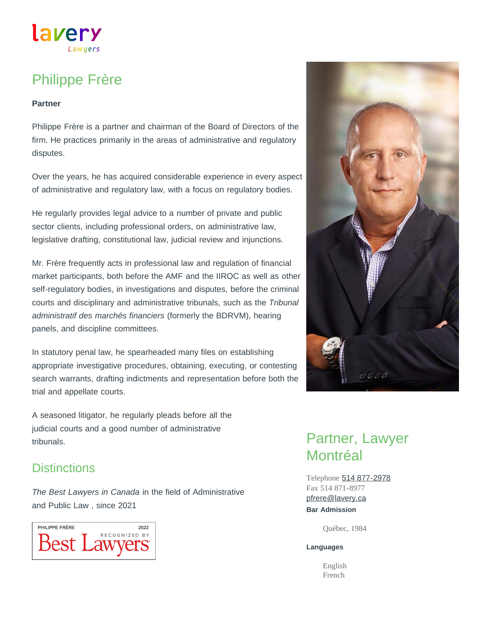# lavery Lawuers

# Philippe Frère

#### **Partner**

Philippe Frère is a partner and chairman of the Board of Directors of the firm. He practices primarily in the areas of administrative and regulatory disputes.

Over the years, he has acquired considerable experience in every aspect of administrative and regulatory law, with a focus on regulatory bodies.

He regularly provides legal advice to a number of private and public sector clients, including professional orders, on administrative law, legislative drafting, constitutional law, judicial review and injunctions.

Mr. Frère frequently acts in professional law and regulation of financial market participants, both before the AMF and the IIROC as well as other self-regulatory bodies, in investigations and disputes, before the criminal courts and disciplinary and administrative tribunals, such as the *Tribunal administratif des marchés financiers* (formerly the BDRVM), hearing panels, and discipline committees.

In statutory penal law, he spearheaded many files on establishing appropriate investigative procedures, obtaining, executing, or contesting search warrants, drafting indictments and representation before both the trial and appellate courts.

A seasoned litigator, he regularly pleads before all the judicial courts and a good number of administrative tribunals.

### **Distinctions**

*The Best Lawyers in Canada* in the field of Administrative and Public Law , since 2021





# Partner, Lawyer **Montréal**

Telephone [514 877-2978](tel:514-877-2978) Fax 514 871-8977 **Bar Admission** [pfrere@lavery.ca](mailto:pfrere@lavery.ca)

Québec, 1984

#### **Languages**

English French